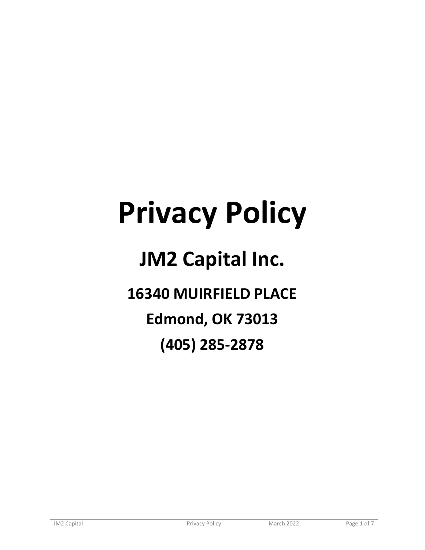# **Privacy Policy**

## **JM2 Capital Inc.**

**16340 MUIRFIELD PLACE**

**Edmond, OK 73013**

**(405) 285-2878**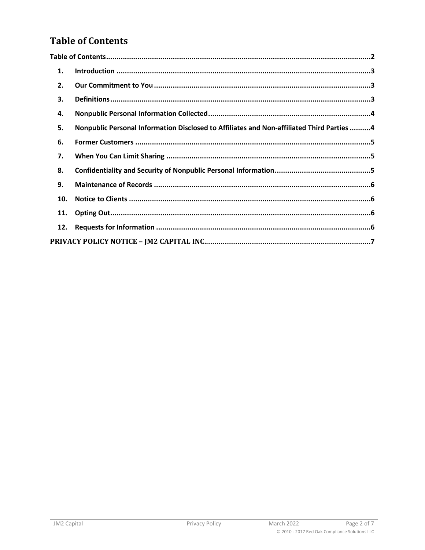#### <span id="page-1-0"></span>**Table of Contents**

| 1.  |                                                                                           |
|-----|-------------------------------------------------------------------------------------------|
| 2.  |                                                                                           |
| 3.  |                                                                                           |
| 4.  |                                                                                           |
| 5.  | Nonpublic Personal Information Disclosed to Affiliates and Non-affiliated Third Parties 4 |
| 6.  |                                                                                           |
| 7.  |                                                                                           |
| 8.  |                                                                                           |
| 9.  |                                                                                           |
| 10. |                                                                                           |
| 11. |                                                                                           |
| 12. |                                                                                           |
|     |                                                                                           |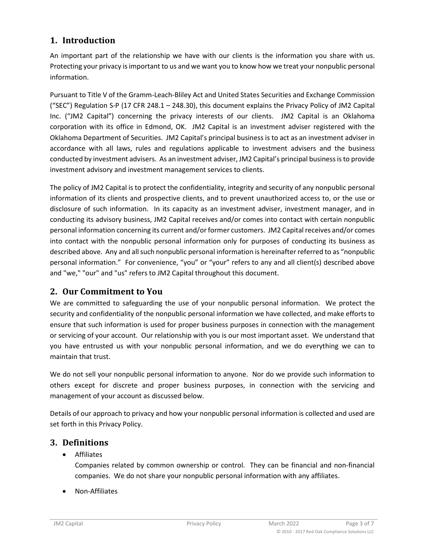#### <span id="page-2-0"></span>**1. Introduction**

An important part of the relationship we have with our clients is the information you share with us. Protecting your privacy is important to us and we want you to know how we treat your nonpublic personal information.

Pursuant to Title V of the Gramm-Leach-Bliley Act and United States Securities and Exchange Commission ("SEC") Regulation S-P (17 CFR 248.1 – 248.30), this document explains the Privacy Policy of JM2 Capital Inc. ("JM2 Capital") concerning the privacy interests of our clients. JM2 Capital is an Oklahoma corporation with its office in Edmond, OK. JM2 Capital is an investment adviser registered with the Oklahoma Department of Securities. JM2 Capital's principal business is to act as an investment adviser in accordance with all laws, rules and regulations applicable to investment advisers and the business conducted by investment advisers. As an investment adviser, JM2 Capital's principal business is to provide investment advisory and investment management services to clients.

The policy of JM2 Capital is to protect the confidentiality, integrity and security of any nonpublic personal information of its clients and prospective clients, and to prevent unauthorized access to, or the use or disclosure of such information. In its capacity as an investment adviser, investment manager, and in conducting its advisory business, JM2 Capital receives and/or comes into contact with certain nonpublic personal information concerning its current and/or former customers. JM2 Capital receives and/or comes into contact with the nonpublic personal information only for purposes of conducting its business as described above. Any and all such nonpublic personal information is hereinafter referred to as "nonpublic personal information." For convenience, "you" or "your" refers to any and all client(s) described above and "we," "our" and "us" refers to JM2 Capital throughout this document.

#### <span id="page-2-1"></span>**2. Our Commitment to You**

We are committed to safeguarding the use of your nonpublic personal information. We protect the security and confidentiality of the nonpublic personal information we have collected, and make efforts to ensure that such information is used for proper business purposes in connection with the management or servicing of your account. Our relationship with you is our most important asset. We understand that you have entrusted us with your nonpublic personal information, and we do everything we can to maintain that trust.

We do not sell your nonpublic personal information to anyone. Nor do we provide such information to others except for discrete and proper business purposes, in connection with the servicing and management of your account as discussed below.

Details of our approach to privacy and how your nonpublic personal information is collected and used are set forth in this Privacy Policy.

#### <span id="page-2-2"></span>**3. Definitions**

• Affiliates

Companies related by common ownership or control. They can be financial and non-financial companies. We do not share your nonpublic personal information with any affiliates.

• Non-Affiliates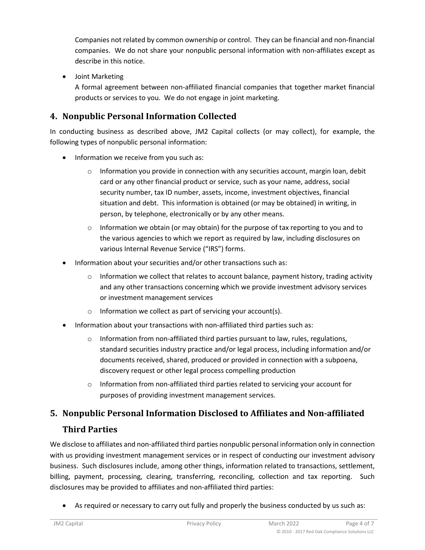Companies not related by common ownership or control. They can be financial and non-financial companies. We do not share your nonpublic personal information with non-affiliates except as describe in this notice.

• Joint Marketing

A formal agreement between non-affiliated financial companies that together market financial products or services to you. We do not engage in joint marketing.

#### <span id="page-3-0"></span>**4. Nonpublic Personal Information Collected**

In conducting business as described above, JM2 Capital collects (or may collect), for example, the following types of nonpublic personal information:

- Information we receive from you such as:
	- $\circ$  Information you provide in connection with any securities account, margin loan, debit card or any other financial product or service, such as your name, address, social security number, tax ID number, assets, income, investment objectives, financial situation and debt. This information is obtained (or may be obtained) in writing, in person, by telephone, electronically or by any other means.
	- $\circ$  Information we obtain (or may obtain) for the purpose of tax reporting to you and to the various agencies to which we report as required by law, including disclosures on various Internal Revenue Service ("IRS") forms.
- Information about your securities and/or other transactions such as:
	- Information we collect that relates to account balance, payment history, trading activity and any other transactions concerning which we provide investment advisory services or investment management services
	- $\circ$  Information we collect as part of servicing your account(s).
- Information about your transactions with non-affiliated third parties such as:
	- $\circ$  Information from non-affiliated third parties pursuant to law, rules, regulations, standard securities industry practice and/or legal process, including information and/or documents received, shared, produced or provided in connection with a subpoena, discovery request or other legal process compelling production
	- $\circ$  Information from non-affiliated third parties related to servicing your account for purposes of providing investment management services.

### <span id="page-3-1"></span>**5. Nonpublic Personal Information Disclosed to Affiliates and Non-affiliated**

#### **Third Parties**

We disclose to affiliates and non-affiliated third parties nonpublic personal information only in connection with us providing investment management services or in respect of conducting our investment advisory business. Such disclosures include, among other things, information related to transactions, settlement, billing, payment, processing, clearing, transferring, reconciling, collection and tax reporting. Such disclosures may be provided to affiliates and non-affiliated third parties:

• As required or necessary to carry out fully and properly the business conducted by us such as: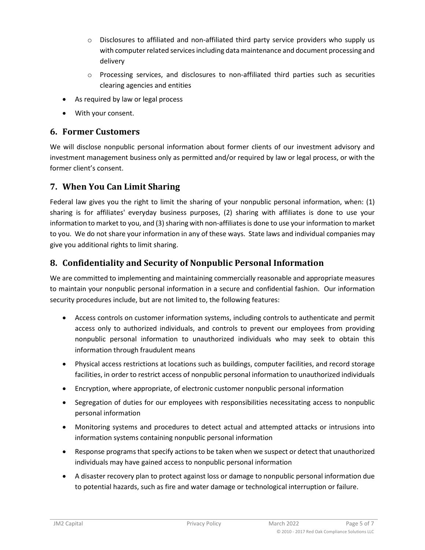- $\circ$  Disclosures to affiliated and non-affiliated third party service providers who supply us with computer related services including data maintenance and document processing and delivery
- $\circ$  Processing services, and disclosures to non-affiliated third parties such as securities clearing agencies and entities
- As required by law or legal process
- With your consent.

#### <span id="page-4-0"></span>**6. Former Customers**

We will disclose nonpublic personal information about former clients of our investment advisory and investment management business only as permitted and/or required by law or legal process, or with the former client's consent.

#### <span id="page-4-1"></span>**7. When You Can Limit Sharing**

Federal law gives you the right to limit the sharing of your nonpublic personal information, when: (1) sharing is for affiliates' everyday business purposes, (2) sharing with affiliates is done to use your information to market to you, and (3) sharing with non-affiliates is done to use your information to market to you. We do not share your information in any of these ways. State laws and individual companies may give you additional rights to limit sharing.

#### <span id="page-4-2"></span>**8. Confidentiality and Security of Nonpublic Personal Information**

We are committed to implementing and maintaining commercially reasonable and appropriate measures to maintain your nonpublic personal information in a secure and confidential fashion. Our information security procedures include, but are not limited to, the following features:

- Access controls on customer information systems, including controls to authenticate and permit access only to authorized individuals, and controls to prevent our employees from providing nonpublic personal information to unauthorized individuals who may seek to obtain this information through fraudulent means
- Physical access restrictions at locations such as buildings, computer facilities, and record storage facilities, in order to restrict access of nonpublic personal information to unauthorized individuals
- Encryption, where appropriate, of electronic customer nonpublic personal information
- Segregation of duties for our employees with responsibilities necessitating access to nonpublic personal information
- Monitoring systems and procedures to detect actual and attempted attacks or intrusions into information systems containing nonpublic personal information
- Response programs that specify actions to be taken when we suspect or detect that unauthorized individuals may have gained access to nonpublic personal information
- A disaster recovery plan to protect against loss or damage to nonpublic personal information due to potential hazards, such as fire and water damage or technological interruption or failure.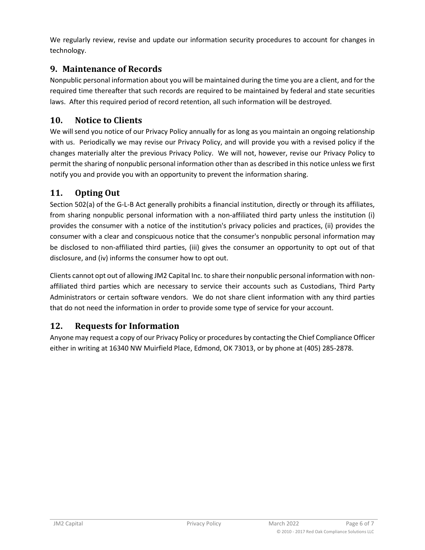We regularly review, revise and update our information security procedures to account for changes in technology.

#### <span id="page-5-0"></span>**9. Maintenance of Records**

Nonpublic personal information about you will be maintained during the time you are a client, and for the required time thereafter that such records are required to be maintained by federal and state securities laws. After this required period of record retention, all such information will be destroyed.

#### <span id="page-5-1"></span>**10. Notice to Clients**

We will send you notice of our Privacy Policy annually for as long as you maintain an ongoing relationship with us. Periodically we may revise our Privacy Policy, and will provide you with a revised policy if the changes materially alter the previous Privacy Policy. We will not, however, revise our Privacy Policy to permit the sharing of nonpublic personal information other than as described in this notice unless we first notify you and provide you with an opportunity to prevent the information sharing.

#### <span id="page-5-2"></span>**11. Opting Out**

Section 502(a) of the G-L-B Act generally prohibits a financial institution, directly or through its affiliates, from sharing nonpublic personal information with a non-affiliated third party unless the institution (i) provides the consumer with a notice of the institution's privacy policies and practices, (ii) provides the consumer with a clear and conspicuous notice that the consumer's nonpublic personal information may be disclosed to non-affiliated third parties, (iii) gives the consumer an opportunity to opt out of that disclosure, and (iv) informs the consumer how to opt out.

Clients cannot opt out of allowing JM2 Capital Inc. to share their nonpublic personal information with nonaffiliated third parties which are necessary to service their accounts such as Custodians, Third Party Administrators or certain software vendors. We do not share client information with any third parties that do not need the information in order to provide some type of service for your account.

#### <span id="page-5-3"></span>**12. Requests for Information**

Anyone may request a copy of our Privacy Policy or procedures by contacting the Chief Compliance Officer either in writing at 16340 NW Muirfield Place, Edmond, OK 73013, or by phone at (405) 285-2878.